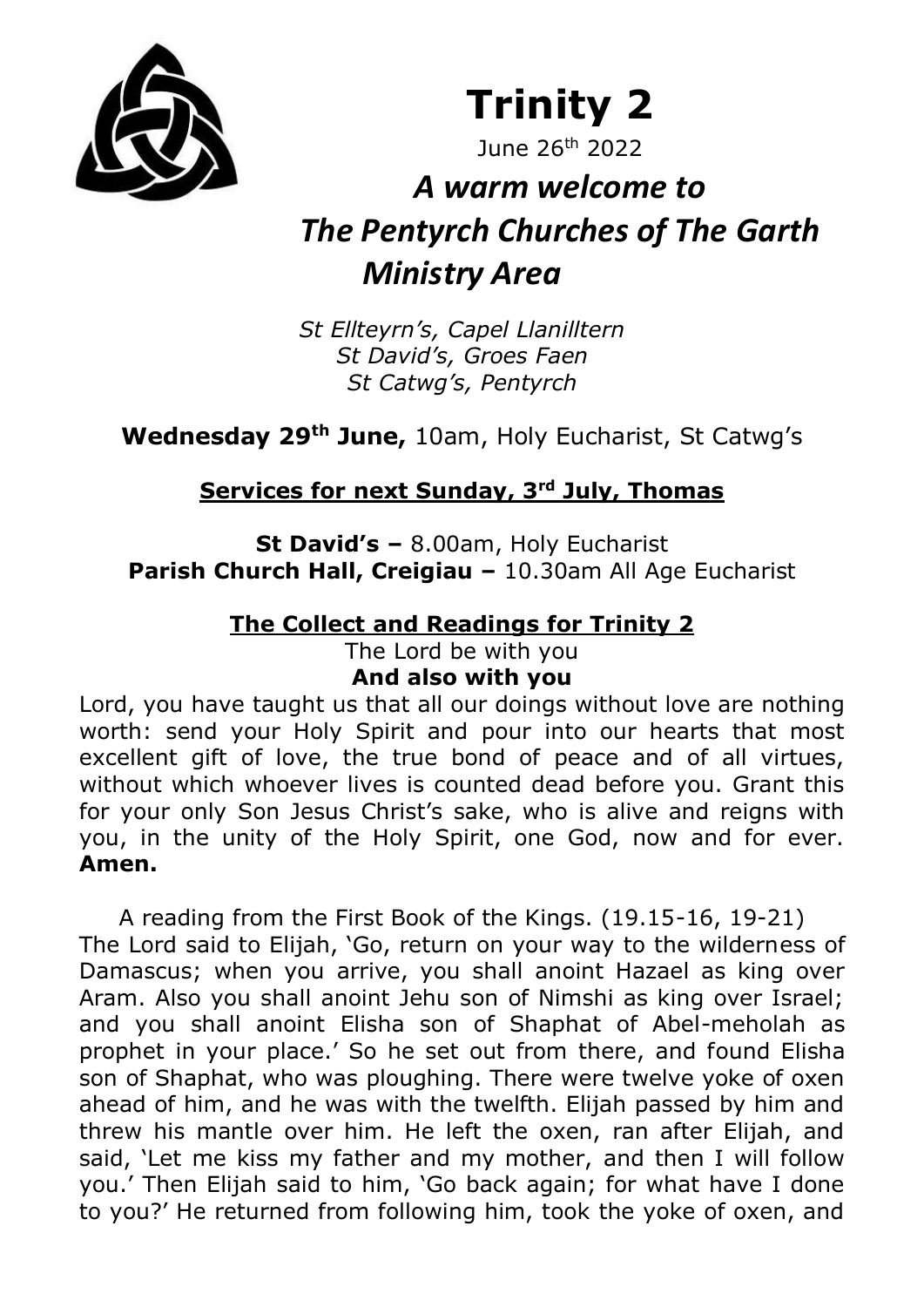

# **Trinity 2**

June 26th 2022

## *A warm welcome to The Pentyrch Churches of The Garth Ministry Area*

*St Ellteyrn's, Capel Llanilltern St David's, Groes Faen St Catwg's, Pentyrch*

**Wednesday 29 th June,** 10am, Holy Eucharist, St Catwg's

## **Services for next Sunday, 3 rd July, Thomas**

**St David's –** 8.00am, Holy Eucharist **Parish Church Hall, Creigiau –** 10.30am All Age Eucharist

## **The Collect and Readings for Trinity 2**

The Lord be with you

## **And also with you**

Lord, you have taught us that all our doings without love are nothing worth: send your Holy Spirit and pour into our hearts that most excellent gift of love, the true bond of peace and of all virtues, without which whoever lives is counted dead before you. Grant this for your only Son Jesus Christ's sake, who is alive and reigns with you, in the unity of the Holy Spirit, one God, now and for ever. **Amen.**

A reading from the First Book of the Kings. (19.15-16, 19-21) The Lord said to Elijah, 'Go, return on your way to the wilderness of Damascus; when you arrive, you shall anoint Hazael as king over Aram. Also you shall anoint Jehu son of Nimshi as king over Israel; and you shall anoint Elisha son of Shaphat of Abel-meholah as prophet in your place.' So he set out from there, and found Elisha son of Shaphat, who was ploughing. There were twelve yoke of oxen ahead of him, and he was with the twelfth. Elijah passed by him and threw his mantle over him. He left the oxen, ran after Elijah, and said, 'Let me kiss my father and my mother, and then I will follow you.' Then Elijah said to him, 'Go back again; for what have I done to you?' He returned from following him, took the yoke of oxen, and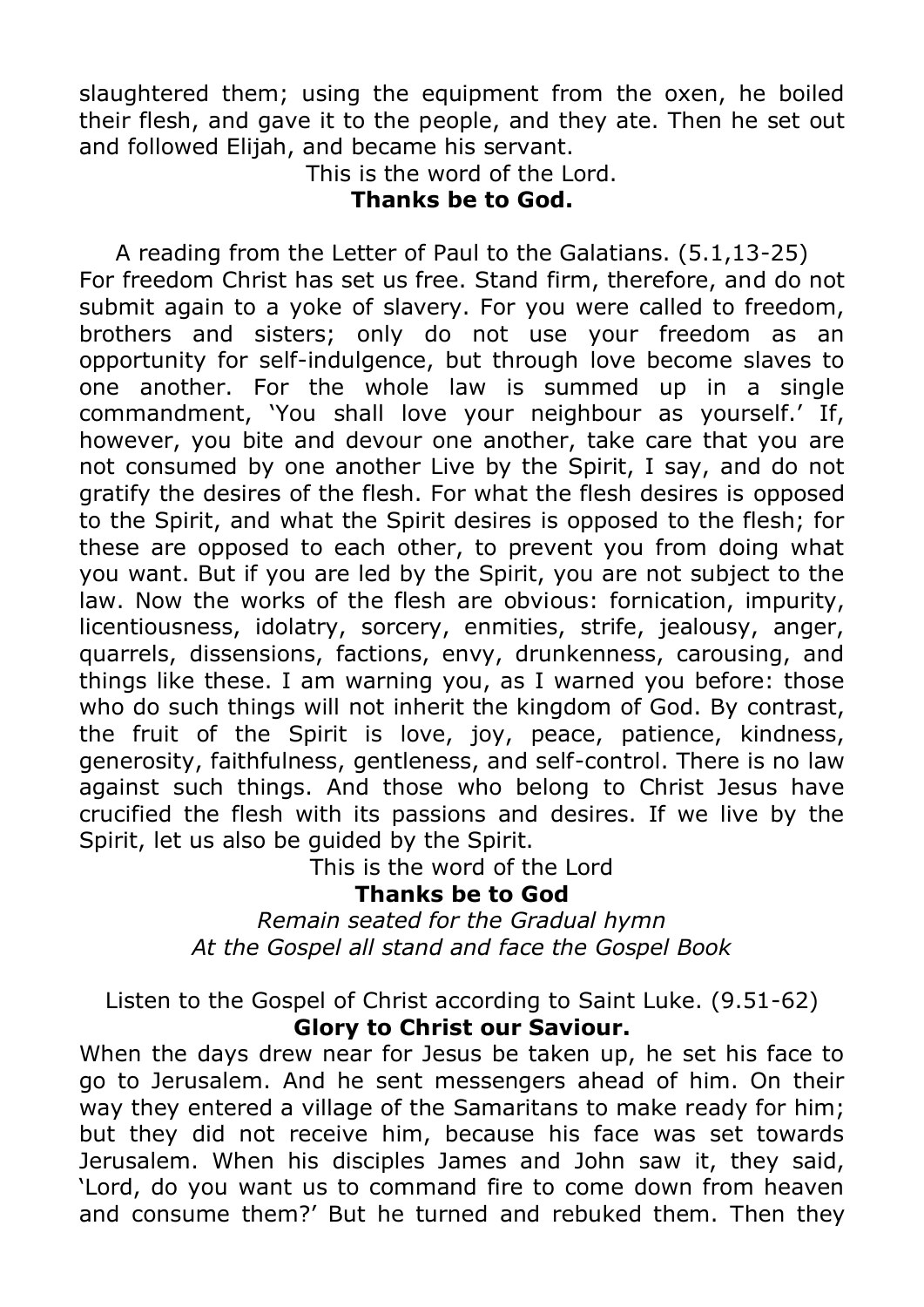slaughtered them; using the equipment from the oxen, he boiled their flesh, and gave it to the people, and they ate. Then he set out and followed Elijah, and became his servant.

This is the word of the Lord.

#### **Thanks be to God.**

A reading from the Letter of Paul to the Galatians. (5.1,13-25) For freedom Christ has set us free. Stand firm, therefore, and do not submit again to a yoke of slavery. For you were called to freedom, brothers and sisters; only do not use your freedom as an opportunity for self-indulgence, but through love become slaves to one another. For the whole law is summed up in a single commandment, 'You shall love your neighbour as yourself.' If, however, you bite and devour one another, take care that you are not consumed by one another Live by the Spirit, I say, and do not gratify the desires of the flesh. For what the flesh desires is opposed to the Spirit, and what the Spirit desires is opposed to the flesh; for these are opposed to each other, to prevent you from doing what you want. But if you are led by the Spirit, you are not subject to the law. Now the works of the flesh are obvious: fornication, impurity, licentiousness, idolatry, sorcery, enmities, strife, jealousy, anger, quarrels, dissensions, factions, envy, drunkenness, carousing, and things like these. I am warning you, as I warned you before: those who do such things will not inherit the kingdom of God. By contrast, the fruit of the Spirit is love, joy, peace, patience, kindness, generosity, faithfulness, gentleness, and self-control. There is no law against such things. And those who belong to Christ Jesus have crucified the flesh with its passions and desires. If we live by the Spirit, let us also be guided by the Spirit.

This is the word of the Lord

**Thanks be to God**

*Remain seated for the Gradual hymn At the Gospel all stand and face the Gospel Book*

Listen to the Gospel of Christ according to Saint Luke. (9.51-62) **Glory to Christ our Saviour.**

When the days drew near for Jesus be taken up, he set his face to go to Jerusalem. And he sent messengers ahead of him. On their way they entered a village of the Samaritans to make ready for him; but they did not receive him, because his face was set towards Jerusalem. When his disciples James and John saw it, they said, 'Lord, do you want us to command fire to come down from heaven and consume them?' But he turned and rebuked them. Then they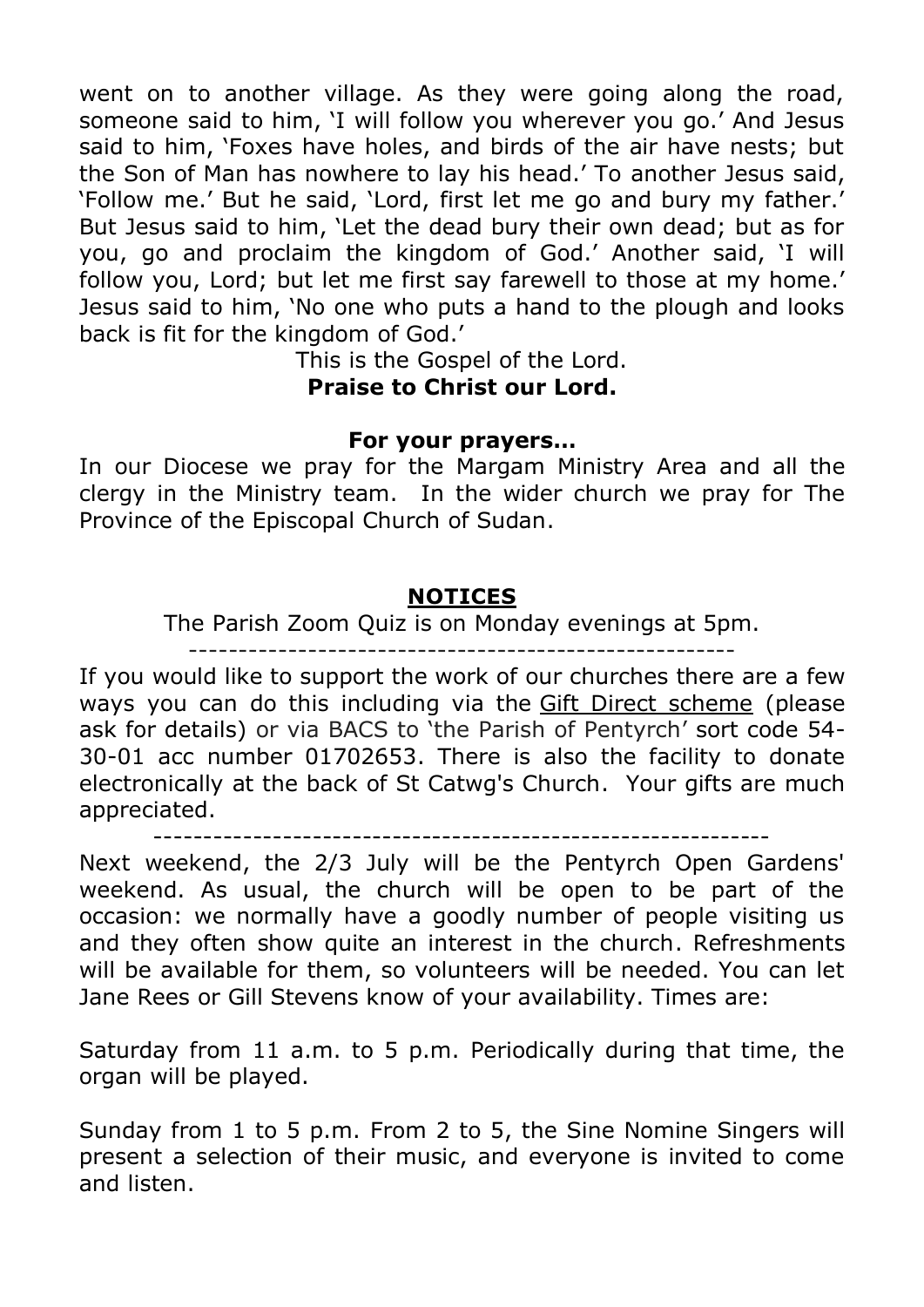went on to another village. As they were going along the road, someone said to him, 'I will follow you wherever you go.' And Jesus said to him, 'Foxes have holes, and birds of the air have nests; but the Son of Man has nowhere to lay his head.' To another Jesus said, 'Follow me.' But he said, 'Lord, first let me go and bury my father.' But Jesus said to him, 'Let the dead bury their own dead; but as for you, go and proclaim the kingdom of God.' Another said, 'I will follow you, Lord; but let me first say farewell to those at my home.' Jesus said to him, 'No one who puts a hand to the plough and looks back is fit for the kingdom of God.'

> This is the Gospel of the Lord. **Praise to Christ our Lord.**

#### **For your prayers…**

In our Diocese we pray for the Margam Ministry Area and all the clergy in the Ministry team. In the wider church we pray for The Province of the Episcopal Church of Sudan.

#### **NOTICES**

## The Parish Zoom Quiz is on Monday evenings at 5pm.

-------------------------------------------------------

If you would like to support the work of our churches there are a few ways you can do this including via the [Gift Direct scheme](https://www.churchinwales.org.uk/en/clergy-and-members/gift-direct/) (please ask for details) or via BACS to 'the Parish of Pentyrch' sort code 54- 30-01 acc number 01702653. There is also the facility to donate electronically at the back of St Catwg's Church. Your gifts are much appreciated.

Next weekend, the 2/3 July will be the Pentyrch Open Gardens' weekend. As usual, the church will be open to be part of the occasion: we normally have a goodly number of people visiting us and they often show quite an interest in the church. Refreshments will be available for them, so volunteers will be needed. You can let Jane Rees or Gill Stevens know of your availability. Times are:

Saturday from 11 a.m. to 5 p.m. Periodically during that time, the organ will be played.

Sunday from 1 to 5 p.m. From 2 to 5, the Sine Nomine Singers will present a selection of their music, and everyone is invited to come and listen.